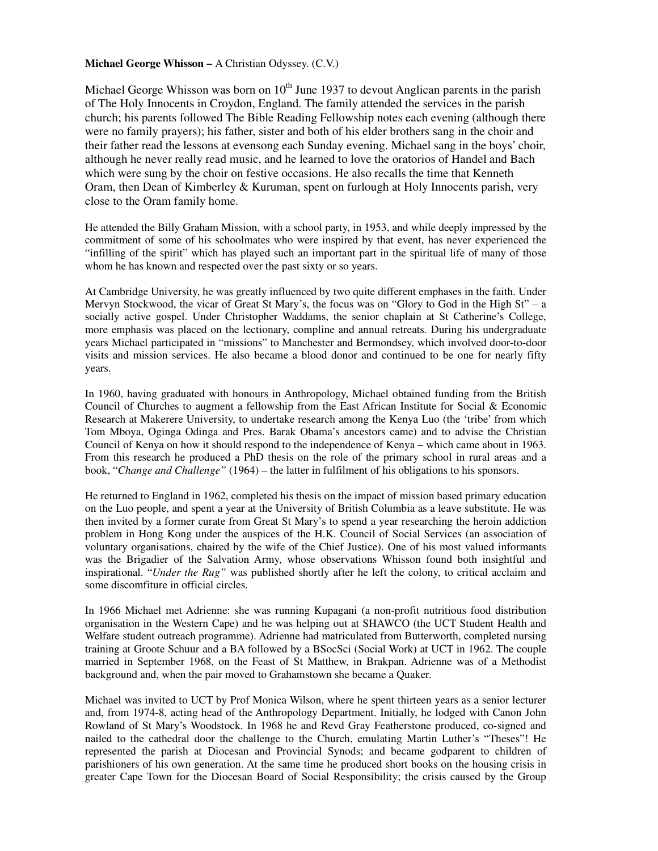## **Michael George Whisson –** A Christian Odyssey. (C.V.)

Michael George Whisson was born on  $10<sup>th</sup>$  June 1937 to devout Anglican parents in the parish of The Holy Innocents in Croydon, England. The family attended the services in the parish church; his parents followed The Bible Reading Fellowship notes each evening (although there were no family prayers); his father, sister and both of his elder brothers sang in the choir and their father read the lessons at evensong each Sunday evening. Michael sang in the boys' choir, although he never really read music, and he learned to love the oratorios of Handel and Bach which were sung by the choir on festive occasions. He also recalls the time that Kenneth Oram, then Dean of Kimberley & Kuruman, spent on furlough at Holy Innocents parish, very close to the Oram family home.

He attended the Billy Graham Mission, with a school party, in 1953, and while deeply impressed by the commitment of some of his schoolmates who were inspired by that event, has never experienced the "infilling of the spirit" which has played such an important part in the spiritual life of many of those whom he has known and respected over the past sixty or so years.

At Cambridge University, he was greatly influenced by two quite different emphases in the faith. Under Mervyn Stockwood, the vicar of Great St Mary's, the focus was on "Glory to God in the High St" – a socially active gospel. Under Christopher Waddams, the senior chaplain at St Catherine's College, more emphasis was placed on the lectionary, compline and annual retreats. During his undergraduate years Michael participated in "missions" to Manchester and Bermondsey, which involved door-to-door visits and mission services. He also became a blood donor and continued to be one for nearly fifty years.

In 1960, having graduated with honours in Anthropology, Michael obtained funding from the British Council of Churches to augment a fellowship from the East African Institute for Social & Economic Research at Makerere University, to undertake research among the Kenya Luo (the 'tribe' from which Tom Mboya, Oginga Odinga and Pres. Barak Obama's ancestors came) and to advise the Christian Council of Kenya on how it should respond to the independence of Kenya – which came about in 1963. From this research he produced a PhD thesis on the role of the primary school in rural areas and a book, "*Change and Challenge"* (1964) – the latter in fulfilment of his obligations to his sponsors.

He returned to England in 1962, completed his thesis on the impact of mission based primary education on the Luo people, and spent a year at the University of British Columbia as a leave substitute. He was then invited by a former curate from Great St Mary's to spend a year researching the heroin addiction problem in Hong Kong under the auspices of the H.K. Council of Social Services (an association of voluntary organisations, chaired by the wife of the Chief Justice). One of his most valued informants was the Brigadier of the Salvation Army, whose observations Whisson found both insightful and inspirational. "*Under the Rug"* was published shortly after he left the colony, to critical acclaim and some discomfiture in official circles.

In 1966 Michael met Adrienne: she was running Kupagani (a non-profit nutritious food distribution organisation in the Western Cape) and he was helping out at SHAWCO (the UCT Student Health and Welfare student outreach programme). Adrienne had matriculated from Butterworth, completed nursing training at Groote Schuur and a BA followed by a BSocSci (Social Work) at UCT in 1962. The couple married in September 1968, on the Feast of St Matthew, in Brakpan. Adrienne was of a Methodist background and, when the pair moved to Grahamstown she became a Quaker.

Michael was invited to UCT by Prof Monica Wilson, where he spent thirteen years as a senior lecturer and, from 1974-8, acting head of the Anthropology Department. Initially, he lodged with Canon John Rowland of St Mary's Woodstock. In 1968 he and Revd Gray Featherstone produced, co-signed and nailed to the cathedral door the challenge to the Church, emulating Martin Luther's "Theses"! He represented the parish at Diocesan and Provincial Synods; and became godparent to children of parishioners of his own generation. At the same time he produced short books on the housing crisis in greater Cape Town for the Diocesan Board of Social Responsibility; the crisis caused by the Group